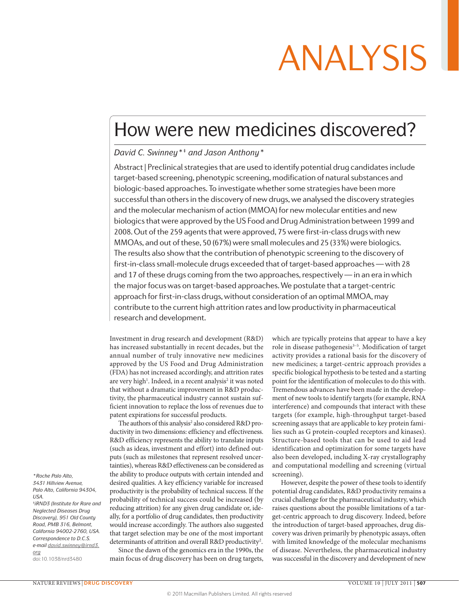## How were new medicines discovered?

#### *David C. Swinney\*‡ and Jason Anthony\**

Abstract | Preclinical strategies that are used to identify potential drug candidates include target-based screening, phenotypic screening, modification of natural substances and biologic-based approaches. To investigate whether some strategies have been more successful than others in the discovery of new drugs, we analysed the discovery strategies and the molecular mechanism of action (MMOA) for new molecular entities and new biologics that were approved by the US Food and Drug Administration between 1999 and 2008. Out of the 259 agents that were approved, 75 were first-in-class drugs with new MMOAs, and out of these, 50 (67%) were small molecules and 25 (33%) were biologics. The results also show that the contribution of phenotypic screening to the discovery of first-in-class small-molecule drugs exceeded that of target-based approaches — with 28 and 17 of these drugs coming from the two approaches, respectively — in an era in which the major focus was on target-based approaches. We postulate that a target-centric approach for first-in-class drugs, without consideration of an optimal MMOA, may contribute to the current high attrition rates and low productivity in pharmaceutical research and development.

Investment in drug research and development (R&D) has increased substantially in recent decades, but the annual number of truly innovative new medicines approved by the US Food and Drug Administration (FDA) has not increased accordingly, and attrition rates are very high<sup>1</sup>. Indeed, in a recent analysis<sup>2</sup> it was noted that without a dramatic improvement in R&D productivity, the pharmaceutical industry cannot sustain sufficient innovation to replace the loss of revenues due to patent expirations for successful products.

The authors of this analysis<sup>2</sup> also considered R&D productivity in two dimensions: efficiency and effectiveness. R&D efficiency represents the ability to translate inputs (such as ideas, investment and effort) into defined outputs (such as milestones that represent resolved uncertainties), whereas R&D effectiveness can be considered as the ability to produce outputs with certain intended and desired qualities. A key efficiency variable for increased productivity is the probability of technical success. If the probability of technical success could be increased (by reducing attrition) for any given drug candidate or, ideally, for a portfolio of drug candidates, then productivity would increase accordingly. The authors also suggested that target selection may be one of the most important determinants of attrition and overall R&D productivity<sup>2</sup>.

Since the dawn of the genomics era in the 1990s, the main focus of drug discovery has been on drug targets, which are typically proteins that appear to have a key role in disease pathogenesis<sup>3-5</sup>. Modification of target activity provides a rational basis for the discovery of new medicines; a target-centric approach provides a specific biological hypothesis to be tested and a starting point for the identification of molecules to do this with. Tremendous advances have been made in the development of new tools to identify targets (for example, RNA interference) and compounds that interact with these targets (for example, high-throughput target-based screening assays that are applicable to key protein families such as G protein-coupled receptors and kinases). Structure-based tools that can be used to aid lead identification and optimization for some targets have also been developed, including X-ray crystallography and computational modelling and screening (virtual screening).

However, despite the power of these tools to identify potential drug candidates, R&D productivity remains a crucial challenge for the pharmaceutical industry, which raises questions about the possible limitations of a target-centric approach to drug discovery. Indeed, before the introduction of target-based approaches, drug discovery was driven primarily by phenotypic assays, often with limited knowledge of the molecular mechanisms of disease. Nevertheless, the pharmaceutical industry was successful in the discovery and development of new

*\*Roche Palo Alto, 3431 Hillview Avenue, Palo Alto, California 94304, USA. ‡iRND3 (Institute for Rare and Neglected Diseases Drug Discovery), 951 Old County Road, PMB 316, Belmont, California 94002‑2760, USA. Correspondence to D.C.S. e-mail [david.swinney@irnd3.](mailto:david.swinney@irnd3.org) [org](mailto:david.swinney@irnd3.org)* doi:10.1038/nrd3480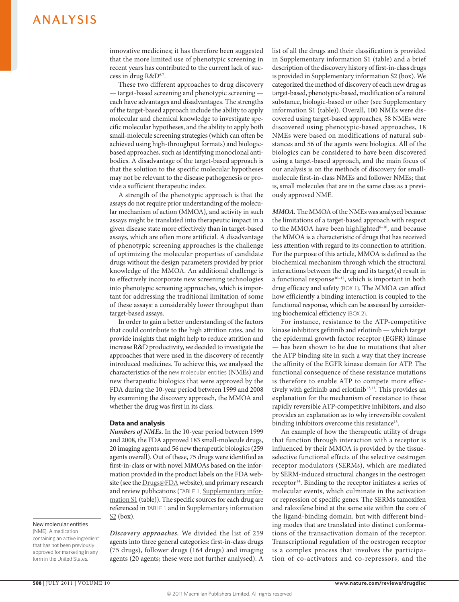innovative medicines; it has therefore been suggested that the more limited use of phenotypic screening in recent years has contributed to the current lack of success in drug R&D<sup>6,7</sup>.

These two different approaches to drug discovery — target-based screening and phenotypic screening each have advantages and disadvantages. The strengths of the target-based approach include the ability to apply molecular and chemical knowledge to investigate specific molecular hypotheses, and the ability to apply both small-molecule screening strategies (which can often be achieved using high-throughput formats) and biologicbased approaches, such as identifying monoclonal antibodies. A disadvantage of the target-based approach is that the solution to the specific molecular hypotheses may not be relevant to the disease pathogenesis or provide a sufficient therapeutic index.

A strength of the phenotypic approach is that the assays do not require prior understanding of the molecular mechanism of action (MMOA), and activity in such assays might be translated into therapeutic impact in a given disease state more effectively than in target-based assays, which are often more artificial. A disadvantage of phenotypic screening approaches is the challenge of optimizing the molecular properties of candidate drugs without the design parameters provided by prior knowledge of the MMOA. An additional challenge is to effectively incorporate new screening technologies into phenotypic screening approaches, which is important for addressing the traditional limitation of some of these assays: a considerably lower throughput than target-based assays.

In order to gain a better understanding of the factors that could contribute to the high attrition rates, and to provide insights that might help to reduce attrition and increase R&D productivity, we decided to investigate the approaches that were used in the discovery of recently introduced medicines. To achieve this, we analysed the characteristics of the new molecular entities (NMEs) and new therapeutic biologics that were approved by the FDA during the 10-year period between 1999 and 2008 by examining the discovery approach, the MMOA and whether the drug was first in its class.

#### Data and analysis

*Numbers of NMEs.* In the 10-year period between 1999 and 2008, the FDA approved 183 small-molecule drugs, 20 imaging agents and 56 new therapeutic biologics (259 agents overall). Out of these, 75 drugs were identified as first-in-class or with novel MMOAs based on the information provided in the product labels on the FDA website (see the *[Drugs@FDA](http://www.accessdata.fda.gov/scripts/cder/drugsatfda/)* website), and primary research and review publications (TABLE 1; [Supplementary infor](http://www.nature.com/nrd/journal/v10/n7/suppinfo/nrd3480.html)[mation S1](http://www.nature.com/nrd/journal/v10/n7/suppinfo/nrd3480.html) (table)). The specific sources for each drug are referenced in TABLE 1 and in [Supplementary information](http://www.nature.com/nrd/journal/v10/n7/suppinfo/nrd3480.html)   $S2$  (box).

#### New molecular entities

(NME). A medication containing an active ingredient that has not been previously approved for marketing in any form in the United States.

*Discovery approaches.* We divided the list of 259 agents into three general categories: first-in-class drugs (75 drugs), follower drugs (164 drugs) and imaging agents (20 agents; these were not further analysed). A list of all the drugs and their classification is provided in Supplementary information S1 (table) and a brief description of the discovery history of first-in-class drugs is provided in [Supplementary information S2](http://www.nature.com/nrd/journal/v10/n7/suppinfo/nrd3480.html) (box). We categorized the method of discovery of each new drug as target-based, phenotypic-based, modification of a natural substance, biologic-based or other (see Supplementary information S1 (table)). Overall, 100 NMEs were discovered using target-based approaches, 58 NMEs were discovered using phenotypic-based approaches, 18 NMEs were based on modifications of natural substances and 56 of the agents were biologics. All of the biologics can be considered to have been discovered using a target-based approach, and the main focus of our analysis is on the methods of discovery for smallmolecule first-in-class NMEs and follower NMEs; that is, small molecules that are in the same class as a previously approved NME.

*MMOA.*The MMOA of the NMEs was analysed because the limitations of a target-based approach with respect to the MMOA have been highlighted $8-10$ , and because the MMOA is a characteristic of drugs that has received less attention with regard to its connection to attrition. For the purpose of this article, MMOA is defined as the biochemical mechanism through which the structural interactions between the drug and its target(s) result in a functional response<sup>10-12</sup>, which is important in both drug efficacy and safety (BOX 1). The MMOA can affect how efficiently a binding interaction is coupled to the functional response, which can be assessed by considering biochemical efficiency (BOX 2).

For instance, resistance to the ATP-competitive kinase inhibitors gefitinib and erlotinib — which target the epidermal growth factor receptor (EGFR) kinase — has been shown to be due to mutations that alter the ATP binding site in such a way that they increase the affinity of the EGFR kinase domain for ATP. The functional consequence of these resistance mutations is therefore to enable ATP to compete more effectively with gefitinib and erlotinib<sup>12,13</sup>. This provides an explanation for the mechanism of resistance to these rapidly reversible ATP-competitive inhibitors, and also provides an explanation as to why irreversible covalent binding inhibitors overcome this resistance<sup>13</sup>.

An example of how the therapeutic utility of drugs that function through interaction with a receptor is influenced by their MMOA is provided by the tissueselective functional effects of the selective oestrogen receptor modulators (SERMs), which are mediated by SERM-induced structural changes in the oestrogen receptor<sup>14</sup>. Binding to the receptor initiates a series of molecular events, which culminate in the activation or repression of specific genes. The SERMs tamoxifen and raloxifene bind at the same site within the core of the ligand-binding domain, but with different binding modes that are translated into distinct conformations of the transactivation domain of the receptor. Transcriptional regulation of the oestrogen receptor is a complex process that involves the participation of co-activators and co-repressors, and the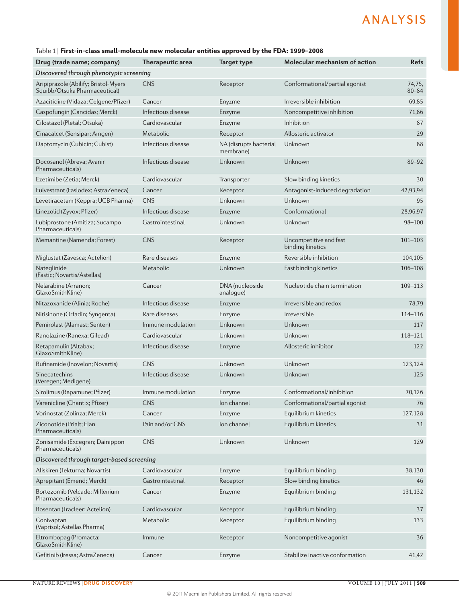| Table 1   First-in-class small-molecule new molecular entities approved by the FDA: 1999-2008 |  |  |
|-----------------------------------------------------------------------------------------------|--|--|
|-----------------------------------------------------------------------------------------------|--|--|

| Drug (trade name; company)                                            | <b>Therapeutic area</b> | <b>Target type</b>                  | Molecular mechanism of action              | <b>Refs</b>         |
|-----------------------------------------------------------------------|-------------------------|-------------------------------------|--------------------------------------------|---------------------|
| Discovered through phenotypic screening                               |                         |                                     |                                            |                     |
| Aripiprazole (Abilify; Bristol-Myers<br>Squibb/Otsuka Pharmaceutical) | <b>CNS</b>              | Receptor                            | Conformational/partial agonist             | 74,75,<br>$80 - 84$ |
| Azacitidine (Vidaza; Celgene/Pfizer)                                  | Cancer                  | Enyzme                              | Irreversible inhibition                    | 69,85               |
| Caspofungin (Cancidas; Merck)                                         | Infectious disease      | Enzyme                              | Noncompetitive inhibition                  | 71,86               |
| Cilostazol (Pletal; Otsuka)                                           | Cardiovascular          | Enzyme                              | Inhibition                                 | 87                  |
| Cinacalcet (Sensipar; Amgen)                                          | Metabolic               | Receptor                            | Allosteric activator                       | 29                  |
| Daptomycin (Cubicin; Cubist)                                          | Infectious disease      | NA (disrupts bacterial<br>membrane) | Unknown                                    | 88                  |
| Docosanol (Abreva; Avanir<br>Pharmaceuticals)                         | Infectious disease      | Unknown                             | Unknown                                    | $89 - 92$           |
| Ezetimibe (Zetia; Merck)                                              | Cardiovascular          | Transporter                         | Slow binding kinetics                      | 30                  |
| Fulvestrant (Faslodex; AstraZeneca)                                   | Cancer                  | Receptor                            | Antagonist-induced degradation             | 47,93,94            |
| Levetiracetam (Keppra; UCB Pharma)                                    | <b>CNS</b>              | Unknown                             | Unknown                                    | 95                  |
| Linezolid (Zyvox; Pfizer)                                             | Infectious disease      | Enzyme                              | Conformational                             | 28,96,97            |
| Lubiprostone (Amitiza; Sucampo<br>Pharmaceuticals)                    | Gastrointestinal        | Unknown                             | Unknown                                    | 98-100              |
| Memantine (Namenda; Forest)                                           | <b>CNS</b>              | Receptor                            | Uncompetitive and fast<br>binding kinetics | $101 - 103$         |
| Miglustat (Zavesca; Actelion)                                         | Rare diseases           | Enzyme                              | Reversible inhibition                      | 104,105             |
| Nateglinide<br>(Fastic; Novartis/Astellas)                            | Metabolic               | Unknown                             | Fast binding kinetics                      | 106-108             |
| Nelarabine (Arranon;<br>GlaxoSmithKline)                              | Cancer                  | DNA (nucleoside<br>analogue)        | Nucleotide chain termination               | 109-113             |
| Nitazoxanide (Alinia; Roche)                                          | Infectious disease      | Enzyme                              | Irreversible and redox                     | 78,79               |
| Nitisinone (Orfadin; Syngenta)                                        | Rare diseases           | Enzyme                              | Irreversible                               | 114-116             |
| Pemirolast (Alamast; Senten)                                          | Immune modulation       | Unknown                             | Unknown                                    | 117                 |
| Ranolazine (Ranexa; Gilead)                                           | Cardiovascular          | Unknown                             | Unknown                                    | 118-121             |
| Retapamulin (Altabax;<br>GlaxoSmithKline)                             | Infectious disease      | Enzyme                              | Allosteric inhibitor                       | 122                 |
| Rufinamide (Inovelon; Novartis)                                       | <b>CNS</b>              | Unknown                             | Unknown                                    | 123,124             |
| Sinecatechins<br>(Veregen; Medigene)                                  | Infectious disease      | Unknown                             | Unknown                                    | 125                 |
| Sirolimus (Rapamune; Pfizer)                                          | Immune modulation       | Enzyme                              | Conformational/inhibition                  | 70,126              |
| Varenicline (Chantix; Pfizer)                                         | <b>CNS</b>              | lon channel                         | Conformational/partial agonist             | 76                  |
| Vorinostat (Zolinza; Merck)                                           | Cancer                  | Enzyme                              | Equilibrium kinetics                       | 127,128             |
| Ziconotide (Prialt; Elan<br>Pharmaceuticals)                          | Pain and/or CNS         | lon channel                         | Equilibrium kinetics                       | 31                  |
| Zonisamide (Excegran; Dainippon<br>Pharmaceuticals)                   | <b>CNS</b>              | Unknown                             | Unknown                                    | 129                 |
| Discovered through target-based screening                             |                         |                                     |                                            |                     |
| Aliskiren (Tekturna; Novartis)                                        | Cardiovascular          | Enzyme                              | Equilibrium binding                        | 38,130              |
| Aprepitant (Emend; Merck)                                             | Gastrointestinal        | Receptor                            | Slow binding kinetics                      | 46                  |
| Bortezomib (Velcade; Millenium<br>Pharmaceuticals)                    | Cancer                  | Enzyme                              | Equilibrium binding                        | 131,132             |
| Bosentan (Tracleer; Actelion)                                         | Cardiovascular          | Receptor                            | Equilibrium binding                        | 37                  |
| Conivaptan<br>(Vaprisol; Astellas Pharma)                             | Metabolic               | Receptor                            | Equilibrium binding                        | 133                 |
| Eltrombopag (Promacta;<br>GlaxoSmithKline)                            | Immune                  | Receptor                            | Noncompetitive agonist                     | 36                  |
| Gefitinib (Iressa; AstraZeneca)                                       | Cancer                  | Enzyme                              | Stabilize inactive conformation            | 41,42               |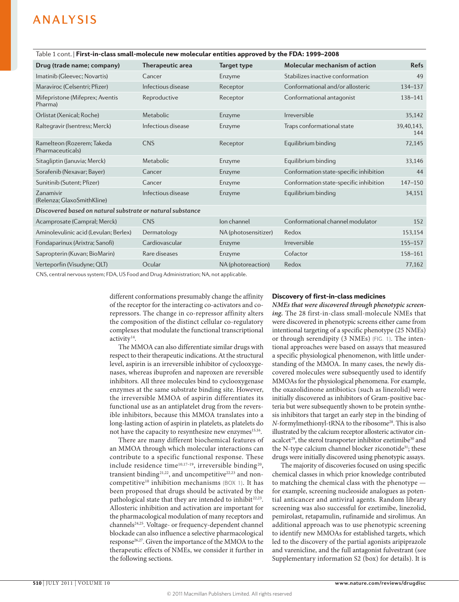| Drug (trade name; company)                                 | Therapeutic area   | <b>Target type</b>   | Molecular mechanism of action          | <b>Refs</b>       |
|------------------------------------------------------------|--------------------|----------------------|----------------------------------------|-------------------|
| Imatinib (Gleevec; Novartis)                               | Cancer             | Enzyme               | Stabilizes inactive conformation       | 49                |
| Maraviroc (Celsentri; Pfizer)                              | Infectious disease | Receptor             | Conformational and/or allosteric       | 134-137           |
| Mifepristone (Mifeprex; Aventis<br>Pharma)                 | Reproductive       | Receptor             | Conformational antagonist              | 138-141           |
| Orlistat (Xenical; Roche)                                  | Metabolic          | Enzyme               | Irreversible                           | 35,142            |
| Raltegravir (Isentress; Merck)                             | Infectious disease | Enzyme               | Traps conformational state             | 39,40,143,<br>144 |
| Ramelteon (Rozerem; Takeda<br>Pharmaceuticals)             | <b>CNS</b>         | Receptor             | Equilibrium binding                    | 72,145            |
| Sitagliptin (Januvia; Merck)                               | Metabolic          | Enzyme               | Equilibrium binding                    | 33,146            |
| Sorafenib (Nexavar; Bayer)                                 | Cancer             | Enzyme               | Conformation state-specific inhibition | 44                |
| Sunitinib (Sutent; Pfizer)                                 | Cancer             | Enzyme               | Conformation state-specific inhibition | $147 - 150$       |
| Zanamivir<br>(Relenza; GlaxoSmithKline)                    | Infectious disease | Enzyme               | Equilibrium binding                    | 34,151            |
| Discovered based on natural substrate or natural substance |                    |                      |                                        |                   |
| Acamprosate (Campral; Merck)                               | <b>CNS</b>         | lon channel          | Conformational channel modulator       | 152               |
| Aminolevulinic acid (Levulan; Berlex)                      | Dermatology        | NA (photosensitizer) | Redox                                  | 153,154           |
| Fondaparinux (Arixtra; Sanofi)                             | Cardiovascular     | Enzyme               | Irreversible                           | $155 - 157$       |
| Sapropterin (Kuvan; BioMarin)                              | Rare diseases      | Enzyme               | Cofactor                               | 158-161           |
| Verteporfin (Visudyne; QLT)                                | Ocular             | NA (photoreaction)   | Redox                                  | 77,162            |
|                                                            |                    |                      |                                        |                   |

CNS, central nervous system; FDA, US Food and Drug Administration; NA, not applicable.

different conformations presumably change the affinity of the receptor for the interacting co-activators and corepressors. The change in co-repressor affinity alters the composition of the distinct cellular co-regulatory complexes that modulate the functional transcriptional activity<sup>14</sup>.

Table 1 cont. | First-in-class small-molecule new molecular entities approved by the FDA: 1999–2008

The MMOA can also differentiate similar drugs with respect to their therapeutic indications. At the structural level, aspirin is an irreversible inhibitor of cyclooxygenases, whereas ibuprofen and naproxen are reversible inhibitors. All three molecules bind to cyclooxygenase enzymes at the same substrate binding site. However, the irreversible MMOA of aspirin differentiates its functional use as an antiplatelet drug from the reversible inhibitors, because this MMOA translates into a long-lasting action of aspirin in platelets, as platelets do not have the capacity to resynthesize new enzymes<sup>15,16</sup>.

There are many different biochemical features of an MMOA through which molecular interactions can contribute to a specific functional response. These include residence time<sup>10,17-19</sup>, irreversible binding<sup>20</sup>, transient binding<sup>21,22</sup>, and uncompetitive<sup>22,23</sup> and noncompetitive<sup>10</sup> inhibition mechanisms (BOX 1). It has been proposed that drugs should be activated by the pathological state that they are intended to inhibit<sup>22,23</sup>. Allosteric inhibition and activation are important for the pharmacological modulation of many receptors and channels<sup>24,25</sup>. Voltage- or frequency-dependent channel blockade can also influence a selective pharmacological response<sup>26,27</sup>. Given the importance of the MMOA to the therapeutic effects of NMEs, we consider it further in the following sections.

#### Discovery of first-in-class medicines

*NMEs that were discovered through phenotypic screening.* The 28 first-in-class small-molecule NMEs that were discovered in phenotypic screens either came from intentional targeting of a specific phenotype (25 NMEs) or through serendipity (3 NMEs) (FIG. 1). The intentional approaches were based on assays that measured a specific physiological phenomenon, with little understanding of the MMOA. In many cases, the newly discovered molecules were subsequently used to identify MMOAs for the physiological phenomena. For example, the oxazolidinone antibiotics (such as linezolid) were initially discovered as inhibitors of Gram-positive bacteria but were subsequently shown to be protein synthesis inhibitors that target an early step in the binding of *N*-formylmethionyl-tRNA to the ribosome<sup>28</sup>. This is also illustrated by the calcium receptor allosteric activator cinacalcet<sup>29</sup>, the sterol transporter inhibitor ezetimibe<sup>30</sup> and the N-type calcium channel blocker ziconotide<sup>31</sup>; these drugs were initially discovered using phenotypic assays.

The majority of discoveries focused on using specific chemical classes in which prior knowledge contributed to matching the chemical class with the phenotype for example, screening nucleoside analogues as potential anticancer and antiviral agents. Random library screening was also successful for ezetimibe, linezolid, pemirolast, retapamulin, rufinamide and sirolimus. An additional approach was to use phenotypic screening to identify new MMOAs for established targets, which led to the discovery of the partial agonists aripiprazole and varenicline, and the full antagonist fulvestrant (see Supplementary information S2 (box) for details). It is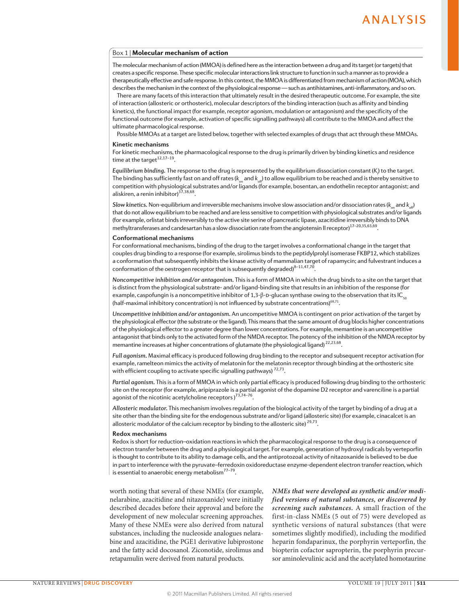#### Box 1 | Molecular mechanism of action

The molecular mechanism of action (MMOA) is defined here as the interaction between a drug and its target (or targets) that creates a specific response. These specific molecular interactions link structure to function in such a manner as to provide a therapeutically effective and safe response. In this context, the MMOA is differentiated from mechanism of action (MOA), which describes the mechanism in the context of the physiological response — such as antihistamines, anti-inflammatory, and so on.

There are many facets of this interaction that ultimately result in the desired therapeutic outcome. For example, the site of interaction (allosteric or orthosteric), molecular descriptors of the binding interaction (such as affinity and binding kinetics), the functional impact (for example, receptor agonism, modulation or antagonism) and the specificity of the functional outcome (for example, activation of specific signalling pathways) all contribute to the MMOA and affect the ultimate pharmacological response.

Possible MMOAs at a target are listed below, together with selected examples of drugs that act through these MMOAs.

#### **Kinetic mechanisms**

For kinetic mechanisms, the pharmacological response to the drug is primarily driven by binding kinetics and residence time at the target $12,17-19$ .

*Equilibrium binding.* The response to the drug is represented by the equilibrium dissociation constant (*K*<sup>i</sup> ) to the target. The binding has sufficiently fast on and off rates (*k* and *k*<sub>o</sub>) to allow equilibrium to be reached and is thereby sensitive to competition with physiological substrates and/or ligands (for example, bosentan, an endothelin receptor antagonist; and aliskiren, a renin inhibitor) $37,38,68$ .

*Slow kinetics.* Non-equilibrium and irreversible mechanisms involve slow association and/or dissociation rates (*k*ond *k*<sub>n</sub>) that do not allow equilibrium to be reached and are less sensitive to competition with physiological substrates and/or ligands (for example, orlistat binds irreversibly to the active site serine of pancreatic lipase, azacitidine irreversibly binds to DNA methyltransferases and candesartan has a slow dissociation rate from the angiotensin II receptor)<sup>17–20,35,63,69</sup>.

#### **Conformational mechanisms**

For conformational mechanisms, binding of the drug to the target involves a conformational change in the target that couples drug binding to a response (for example, sirolimus binds to the peptidylprolyl isomerase FKBP12, which stabilizes a conformation that subsequently inhibits the kinase activity of mammalian target of rapamycin; and fulvestrant induces a conformation of the oestrogen receptor that is subsequently degraded) $8-11,47,70$ .

*Noncompetitive inhibition and/or antagonism.* This is a form of MMOA in which the drug binds to a site on the target that is distinct from the physiological substrate- and/or ligand-binding site that results in an inhibition of the response (for example, caspofungin is a noncompetitive inhibitor of 1,3-β-p-glucan synthase owing to the observation that its  $IC_{50}$ (half-maximal inhibitory concentration) is not influenced by substrate concentrations)68,71.

*Uncompetitive inhibition and/or antagonism.* An uncompetitive MMOA is contingent on prior activation of the target by the physiological effector (the substrate or the ligand). This means that the same amount of drug blocks higher concentrations of the physiological effector to a greater degree than lower concentrations. For example, memantine is an uncompetitive antagonist that binds only to the activated form of the NMDA receptor. The potency of the inhibition of the NMDA receptor by memantine increases at higher concentrations of glutamate (the physiological ligand) <sup>22,23,68</sup>.

*Full agonism.* Maximal efficacy is produced following drug binding to the receptor and subsequent receptor activation (for example, ramelteon mimics the activity of melatonin for the melatonin receptor through binding at the orthosteric site with efficient coupling to activate specific signalling pathways)  $72,73$ .

*Partial agonism.* This is a form of MMOA in which only partial efficacy is produced following drug binding to the orthosteric site on the receptor (for example, aripiprazole is a partial agonist of the dopamine D2 receptor and varenciline is a partial agonist of the nicotinic acetylcholine receptors  $1^{73,74-76}$ .

*Allosteric modulator.* This mechanism involves regulation of the biological activity of the target by binding of a drug at a site other than the binding site for the endogenous substrate and/or ligand (allosteric site) (for example, cinacalcet is an allosteric modulator of the calcium receptor by binding to the allosteric site)  $29.73$ .

#### **Redox mechanisms**

Redox is short for reduction–oxidation reactions in which the pharmacological response to the drug is a consequence of electron transfer between the drug and a physiological target. For example, generation of hydroxyl radicals by verteporfin is thought to contribute to its ability to damage cells, and the antiprotozoal activity of nitazoxanide is believed to be due in part to interference with the pyruvate–ferredoxin oxidoreductase enzyme-dependent electron transfer reaction, which is essential to anaerobic energy metabolism $^{77-79}$ .

worth noting that several of these NMEs (for example, nelarabine, azacitidine and nitazoxanide) were initially described decades before their approval and before the development of new molecular screening approaches. Many of these NMEs were also derived from natural substances, including the nucleoside analogues nelarabine and azacitidine, the PGE1 derivative lubiprostone and the fatty acid docosanol. Ziconotide, sirolimus and retapamulin were derived from natural products.

*NMEs that were developed as synthetic and/or modified versions of natural substances, or discovered by screening such substances.* A small fraction of the first-in-class NMEs (5 out of 75) were developed as synthetic versions of natural substances (that were sometimes slightly modified), including the modified heparin fondaparinux, the porphyrin verteporfin, the biopterin cofactor sapropterin, the porphyrin precursor aminolevulinic acid and the acetylated homotaurine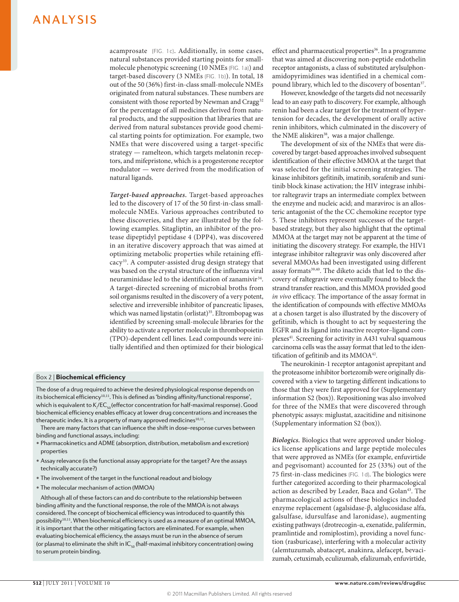acamprosate (FIG. 1c). Additionally, in some cases, natural substances provided starting points for smallmolecule phenotypic screening (10 NMEs (FIG. 1a)) and target-based discovery (3 NMEs (FIG. 1b)). In total, 18 out of the 50 (36%) first-in-class small-molecule NMEs originated from natural substances. These numbers are consistent with those reported by Newman and Cragg<sup>32</sup> for the percentage of all medicines derived from natural products, and the supposition that libraries that are derived from natural substances provide good chemical starting points for optimization. For example, two NMEs that were discovered using a target-specific strategy — ramelteon, which targets melatonin receptors, and mifepristone, which is a progesterone receptor modulator — were derived from the modification of natural ligands.

*Target-based approaches.* Target-based approaches led to the discovery of 17 of the 50 first-in-class smallmolecule NMEs. Various approaches contributed to these discoveries, and they are illustrated by the following examples. Sitagliptin, an inhibitor of the protease dipeptidyl peptidase 4 (DPP4), was discovered in an iterative discovery approach that was aimed at optimizing metabolic properties while retaining efficacy<sup>33</sup>. A computer-assisted drug design strategy that was based on the crystal structure of the influenza viral neuraminidase led to the identification of zanamivir<sup>34</sup>. A target-directed screening of microbial broths from soil organisms resulted in the discovery of a very potent, selective and irreversible inhibitor of pancreatic lipases, which was named lipstatin (orlistat)<sup>35</sup>. Eltrombopag was identified by screening small-molecule libraries for the ability to activate a reporter molecule in thrombopoietin (TPO)-dependent cell lines. Lead compounds were initially identified and then optimized for their biological

#### Box 2 | Biochemical efficiency

The dose of a drug required to achieve the desired physiological response depends on its biochemical efficiency<sup>10,11</sup>. This is defined as 'binding affinity/functional response', which is equivalent to K<sub>;</sub>/EC<sub>s0</sub> (effector concentration for half-maximal response). Good biochemical efficiency enables efficacy at lower drug concentrations and increases the therapeutic index. It is a property of many approved medicines $10,11$ .

There are many factors that can influence the shift in dose–response curves between binding and functional assays, including:

- • Pharmacokinetics and ADME (absorption, distribution, metabolism and excretion) properties
- • Assay relevance (is the functional assay appropriate for the target? Are the assays technically accurate?)
- The involvement of the target in the functional readout and biology
- • The molecular mechanism of action (MMOA)

Although all of these factors can and do contribute to the relationship between binding affinity and the functional response, the role of the MMOA is not always considered. The concept of biochemical efficiency was introduced to quantify this possibility<sup>10,11</sup>. When biochemical efficiency is used as a measure of an optimal MMOA, it is important that the other mitigating factors are eliminated. For example, when evaluating biochemical efficiency, the assays must be run in the absence of serum (or plasma) to eliminate the shift in  $IC_{50}$  (half-maximal inhibitory concentration) owing to serum protein binding.

effect and pharmaceutical properties<sup>36</sup>. In a programme that was aimed at discovering non-peptide endothelin receptor antagonists, a class of substituted arylsulphonamidopyrimidines was identified in a chemical compound library, which led to the discovery of bosentan<sup>37</sup>.

However, knowledge of the targets did not necessarily lead to an easy path to discovery. For example, although renin had been a clear target for the treatment of hypertension for decades, the development of orally active renin inhibitors, which culminated in the discovery of the NME aliskiren<sup>38</sup>, was a major challenge.

The development of six of the NMEs that were discovered by target-based approaches involved subsequent identification of their effective MMOA at the target that was selected for the initial screening strategies. The kinase inhibitors gefitinib, imatinib, sorafenib and sunitinib block kinase activation; the HIV integrase inhibitor raltegravir traps an intermediate complex between the enzyme and nucleic acid; and maraviroc is an allosteric antagonist of the the CC chemokine receptor type 5. These inhibitors represent successes of the targetbased strategy, but they also highlight that the optimal MMOA at the target may not be apparent at the time of initiating the discovery strategy. For example, the HIV1 integrase inhibitor raltegravir was only discovered after several MMOAs had been investigated using different assay formats<sup>39,40</sup>. The diketo acids that led to the discovery of raltegravir were eventually found to block the strand transfer reaction, and this MMOA provided good *in vivo* efficacy. The importance of the assay format in the identification of compounds with effective MMOAs at a chosen target is also illustrated by the discovery of gefitinib, which is thought to act by sequestering the EGFR and its ligand into inactive receptor–ligand complexes<sup>41</sup>. Screening for activity in A431 vulval squamous carcinoma cells was the assay format that led to the identification of gefitinib and its MMOA<sup>42</sup>.

The neurokinin-1 receptor antagonist aprepitant and the proteasome inhibitor bortezomib were originally discovered with a view to targeting different indications to those that they were first approved for (Supplementary information S2 (box)). Repositioning was also involved for three of the NMEs that were discovered through phenotypic assays: miglustat, azacitidine and nitisinone (Supplementary information S2 (box)).

*Biologics.* Biologics that were approved under biologics license applications and large peptide molecules that were approved as NMEs (for example, enfuvirtide and pegvisomant) accounted for 25 (33%) out of the 75 first-in-class medicines (FIG. 1d). The biologics were further categorized according to their pharmacological action as described by Leader, Baca and Golan<sup>43</sup>. The pharmacological actions of these biologics included enzyme replacement (agalsidase-β, alglucosidase alfa, galsulfase, idursulfase and laronidase), augmenting existing pathways (drotrecogin-α, exenatide, palifermin, pramlintide and romiplostim), providing a novel function (rasburicase), interfering with a molecular activity (alemtuzumab, abatacept, anakinra, alefacept, bevacizumab, cetuximab, eculizumab, efalizumab, enfuvirtide,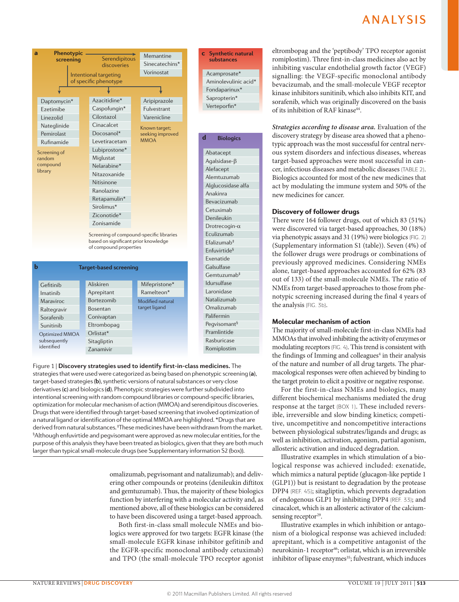## **ANAIYSIS**



Sitagliptin

Zanamivir

C Synthetic natural substances Acamprosate\*

| Aminolevulinic acid^ |
|----------------------|
| Fondaparinux*        |
| Sapropterin*         |
| Verteporfin*         |
|                      |

| J<br><b>Biologics</b>    |  |
|--------------------------|--|
| Abatacept                |  |
| Agalsidase- $\beta$      |  |
| Alefacept                |  |
| Alemtuzumab              |  |
| Alglucosidase alfa       |  |
| Anakinra                 |  |
| Bevacizumab              |  |
| Cetuximab                |  |
| Denileukin               |  |
| Drotrecogin-α            |  |
| Eculizumab               |  |
| Efalizumab <sup>‡</sup>  |  |
| Fnfuvirtide <sup>§</sup> |  |
| <b>Fxenatide</b>         |  |
| Galsulfase               |  |
| Gemtuzumab <sup>‡</sup>  |  |
| Idursulfase              |  |
| l aronidase              |  |
| Natalizumab              |  |
| Omalizumab               |  |
| Palifermin               |  |
| Peqvisomant <sup>§</sup> |  |
| Pramlintide              |  |
| Rasburicase              |  |
| Romiplostim              |  |
|                          |  |

Figure 1 | Discovery strategies used to identify first-in-class medicines. The strategies that were used were categorized as being based on phenotypic screening (a), target-based strategies (b), synthetic versions of natural substances or very close derivatives  $(c)$  and biologics  $(d)$ . Phenotypic strategies were further subdivided into intentional screening with random compound libraries or compound-specific libraries, optimization for molecular mechanism of action (MMOA) and serendipitous discoveries. Drugs that were identified through target-based screening that involved optimization of a natural ligand or identification of the optimal MMOA are highlighted. \*Drugs that are derived from natural substances.<sup>‡</sup>These medicines have been withdrawn from the market. <sup>§</sup>Although enfuvirtide and pegvisomant were approved as new molecular entities, for the purpose of this analysis they have been treated as biologics, given that they are both much larger than typical small-molecule drugs (see Supplementary information S2 (box)).

> omalizumab, pegvisomant and natalizumab); and delivering other compounds or proteins (denileukin diftitox and gemtuzumab). Thus, the majority of these biologics function by interfering with a molecular activity and, as mentioned above, all of these biologics can be considered to have been discovered using a target-based approach.

> Both first-in-class small molecule NMEs and biologics were approved for two targets: EGFR kinase (the small-molecule EGFR kinase inhibitor gefitinib and the EGFR-specific monoclonal antibody cetuximab) and TPO (the small-molecule TPO receptor agonist

eltrombopag and the 'peptibody' TPO receptor agonist romiplostim). Three first-in-class medicines also act by inhibiting vascular endothelial growth factor (VEGF) signalling: the VEGF-specific monoclonal antibody bevacizumab, and the small-molecule VEGF receptor kinase inhibitors sunitinib, which also inhibits KIT, and sorafenib, which was originally discovered on the basis of its inhibition of RAF kinase<sup>44</sup>.

Strategies according to disease area. Evaluation of the discovery strategy by disease area showed that a phenotypic approach was the most successful for central nervous system disorders and infectious diseases, whereas target-based approaches were most successful in cancer, infectious diseases and metabolic diseases (TABLE 2). Biologics accounted for most of the new medicines that act by modulating the immune system and 50% of the new medicines for cancer.

#### **Discovery of follower drugs**

There were 164 follower drugs, out of which 83 (51%) were discovered via target-based approaches, 30 (18%) via phenotypic assays and 31 (19%) were biologics (FIG. 2) (Supplementary information S1 (table)). Seven (4%) of the follower drugs were prodrugs or combinations of previously approved medicines. Considering NMEs alone, target-based approaches accounted for 62% (83 out of 133) of the small-molecule NMEs. The ratio of NMEs from target-based approaches to those from phenotypic screening increased during the final 4 years of the analysis (FIG. 3b).

#### **Molecular mechanism of action**

The majority of small-molecule first-in-class NMEs had MMOAs that involved inhibiting the activity of enzymes or modulating receptors (FIG. 4). This trend is consistent with the findings of Imming and colleagues<sup>4</sup> in their analysis of the nature and number of all drug targets. The pharmacological responses were often achieved by binding to the target protein to elicit a positive or negative response.

For the first-in-class NMEs and biologics, many different biochemical mechanisms mediated the drug response at the target (BOX 1). These included reversible, irreversible and slow binding kinetics; competitive, uncompetitive and noncompetitive interactions between physiological substrates/ligands and drugs; as well as inhibition, activation, agonism, partial agonism, allosteric activation and induced degradation.

Illustrative examples in which stimulation of a biological response was achieved included: exenatide, which mimics a natural peptide (glucagon-like peptide 1 (GLP1)) but is resistant to degradation by the protease DPP4 (REF. 45); sitagliptin, which prevents degradation of endogenous GLP1 by inhibiting DPP4 (REF. 33); and cinacalcet, which is an allosteric activator of the calciumsensing receptor<sup>29</sup>.

Illustrative examples in which inhibition or antagonism of a biological response was achieved included: aprepitant, which is a competitive antagonist of the neurokinin-1 receptor<sup>46</sup>; orlistat, which is an irreversible inhibitor of lipase enzymes<sup>35</sup>; fulvestrant, which induces

subsequently

hentified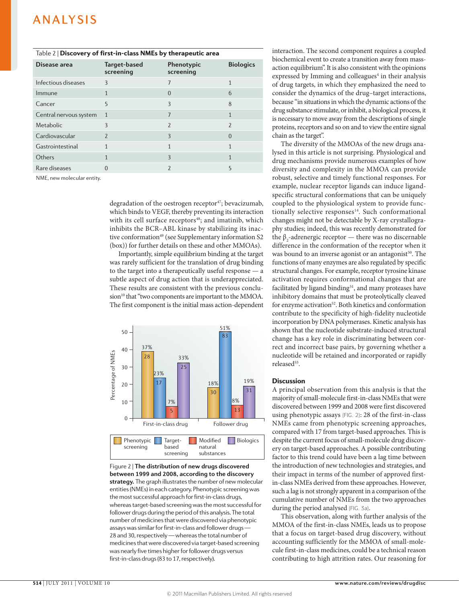| Table 2   Discovery of first-in-class NMEs by therapeutic area |                           |                          |                          |
|----------------------------------------------------------------|---------------------------|--------------------------|--------------------------|
| Disease area                                                   | Target-based<br>screening | Phenotypic<br>screening  | <b>Biologics</b>         |
| Infectious diseases                                            | 3                         | 7                        |                          |
| Immune                                                         | 1                         | $\Omega$                 | 6                        |
| Cancer                                                         | 5                         | 3                        | 8                        |
| Central nervous system                                         | $\mathbf{1}$              | 7                        | 1                        |
| Metabolic                                                      | 3                         | $\overline{\phantom{0}}$ | $\overline{\phantom{0}}$ |
| Cardiovascular                                                 | $\overline{\phantom{0}}$  | 3                        | 0                        |
| Gastrointestinal                                               | 1                         | 1                        | 1                        |
| Others                                                         | 1                         | 3                        | 1                        |
| Rare diseases                                                  |                           | $\overline{\phantom{a}}$ | 5                        |

NME, new molecular entity.

degradation of the oestrogen receptor<sup>47</sup>; bevacizumab, which binds to VEGF, thereby preventing its interaction with its cell surface receptors<sup>48</sup>; and imatinib, which inhibits the BCR–ABL kinase by stabilizing its inactive conformation<sup>49</sup> (see Supplementary information S2 (box)) for further details on these and other MMOAs).

Importantly, simple equilibrium binding at the target was rarely sufficient for the translation of drug binding to the target into a therapeutically useful response — a subtle aspect of drug action that is underappreciated. These results are consistent with the previous conclusion<sup>10</sup> that "two components are important to the MMOA. The first component is the initial mass action-dependent



*0CVWTG-4GXKGYU-*^ *&TWI-&KUEQXGT[* **strategy.** The graph illustrates the number of new molecular Figure 2 | **The distribution of new drugs discovered between 1999 and 2008, according to the discovery**  entities (NMEs) in each category. Phenotypic screening was the most successful approach for first-in-class drugs, whereas target-based screening was the most successful for follower drugs during the period of this analysis. The total number of medicines that were discovered via phenotypic assays was similar for first-in-class and follower drugs -28 and 30, respectively — whereas the total number of medicines that were discovered via target-based screening was nearly five times higher for follower drugs versus first-in-class drugs (83 to 17, respectively).

interaction. The second component requires a coupled biochemical event to create a transition away from massaction equilibrium". It is also consistent with the opinions expressed by Imming and colleagues<sup>4</sup> in their analysis of drug targets, in which they emphasized the need to consider the dynamics of the drug–target interactions, because "in situations in which the dynamic actions of the drug substance stimulate, or inhibit, a biological process, it is necessary to move away from the descriptions of single proteins, receptors and so on and to view the entire signal chain as the target".

The diversity of the MMOAs of the new drugs analysed in this article is not surprising. Physiological and drug mechanisms provide numerous examples of how diversity and complexity in the MMOA can provide robust, selective and timely functional responses. For example, nuclear receptor ligands can induce ligandspecific structural conformations that can be uniquely coupled to the physiological system to provide functionally selective responses $14$ . Such conformational changes might not be detectable by X-ray crystallography studies; indeed, this was recently demonstrated for the  $β_2$ -adrenergic receptor — there was no discernable difference in the conformation of the receptor when it was bound to an inverse agonist or an antagonist<sup>50</sup>. The functions of many enzymes are also regulated by specific structural changes. For example, receptor tyrosine kinase activation requires conformational changes that are facilitated by ligand binding<sup>51</sup>, and many proteases have inhibitory domains that must be proteolytically cleaved for enzyme activation<sup>52</sup>. Both kinetics and conformation contribute to the specificity of high-fidelity nucleotide incorporation by DNA polymerases. Kinetic analysis has shown that the nucleotide substrate-induced structural change has a key role in discriminating between correct and incorrect base pairs, by governing whether a nucleotide will be retained and incorporated or rapidly released<sup>53</sup>.

#### **Discussion**

A principal observation from this analysis is that the majority of small-molecule first-in-class NMEs that were discovered between 1999 and 2008 were first discovered using phenotypic assays (FIG. 2): 28 of the first-in-class NMEs came from phenotypic screening approaches, compared with 17 from target-based approaches. This is despite the current focus of small-molecule drug discovery on target-based approaches. A possible contributing factor to this trend could have been a lag time between the introduction of new technologies and strategies, and their impact in terms of the number of approved firstin-class NMEs derived from these approaches. However, such a lag is not strongly apparent in a comparison of the cumulative number of NMEs from the two approaches during the period analysed (FIG. 3a).

This observation, along with further analysis of the MMOA of the first-in-class NMEs, leads us to propose that a focus on target-based drug discovery, without accounting sufficiently for the MMOA of small-molecule first-in-class medicines, could be a technical reason contributing to high attrition rates. Our reasoning for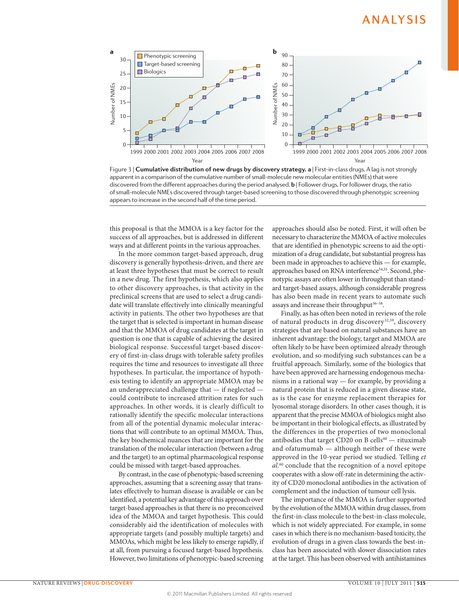

**discovered from the different approaches during the period analysed. <b>b** | Follower drugs. For follower drugs, the ratio Figure 3 | **Cumulative distribution of new drugs by discovery strategy. a** | First-in-class drugs. A lag is not strongly apparent in a comparison of the cumulative number of small-molecule new molecular entities (NMEs) that were of small-molecule NMEs discovered through target-based screening to those discovered through phenotypic screening appears to increase in the second half of the time period.

this proposal is that the MMOA is a key factor for the success of all approaches, but is addressed in different ways and at different points in the various approaches.

In the more common target-based approach, drug discovery is generally hypothesis-driven, and there are at least three hypotheses that must be correct to result in a new drug. The first hypothesis, which also applies to other discovery approaches, is that activity in the preclinical screens that are used to select a drug candidate will translate effectively into clinically meaningful activity in patients. The other two hypotheses are that the target that is selected is important in human disease and that the MMOA of drug candidates at the target in question is one that is capable of achieving the desired biological response. Successful target-based discovery of first-in-class drugs with tolerable safety profiles requires the time and resources to investigate all three hypotheses. In particular, the importance of hypothesis testing to identify an appropriate MMOA may be an underappreciated challenge that — if neglected could contribute to increased attrition rates for such approaches. In other words, it is clearly difficult to rationally identify the specific molecular interactions from all of the potential dynamic molecular interactions that will contribute to an optimal MMOA. Thus, the key biochemical nuances that are important for the translation of the molecular interaction (between a drug and the target) to an optimal pharmacological response could be missed with target-based approaches.

By contrast, in the case of phenotypic-based screening approaches, assuming that a screening assay that translates effectively to human disease is available or can be identified, a potential key advantage of this approach over target-based approaches is that there is no preconceived idea of the MMOA and target hypothesis. This could considerably aid the identification of molecules with appropriate targets (and possibly multiple targets) and MMOAs, which might be less likely to emerge rapidly, if at all, from pursuing a focused target-based hypothesis. However, two limitations of phenotypic-based screening approaches should also be noted. First, it will often be necessary to characterize the MMOA of active molecules that are identified in phenotypic screens to aid the optimization of a drug candidate, but substantial progress has been made in approaches to achieve this — for example, approaches based on RNA interference<sup>54,55</sup>. Second, phenotypic assays are often lower in throughput than standard target-based assays, although considerable progress has also been made in recent years to automate such assays and increase their throughput<sup>56-58</sup>.

Finally, as has often been noted in reviews of the role of natural products in drug discovery<sup>32,59</sup>, discovery strategies that are based on natural substances have an inherent advantage: the biology, target and MMOA are often likely to be have been optimized already through evolution, and so modifying such substances can be a fruitful approach. Similarly, some of the biologics that have been approved are harnessing endogenous mechanisms in a rational way — for example, by providing a natural protein that is reduced in a given disease state, as is the case for enzyme replacement therapies for lyosomal storage disorders. In other cases though, it is apparent that the precise MMOA of biologics might also be important in their biological effects, as illustrated by the differences in the properties of two monoclonal antibodies that target CD20 on B cells $60 -$  rituximab and ofatumumab — although neither of these were approved in the 10-year period we studied. Telling *et al.*60 conclude that the recognition of a novel epitope cooperates with a slow off-rate in determining the activity of CD20 monoclonal antibodies in the activation of complement and the induction of tumour cell lysis.

The importance of the MMOA is further supported by the evolution of the MMOA within drug classes, from the first-in-class molecule to the best-in-class molecule, which is not widely appreciated. For example, in some cases in which there is no mechanism-based toxicity, the evolution of drugs in a given class towards the best-inclass has been associated with slower dissociation rates at the target. This has been observed with antihistamines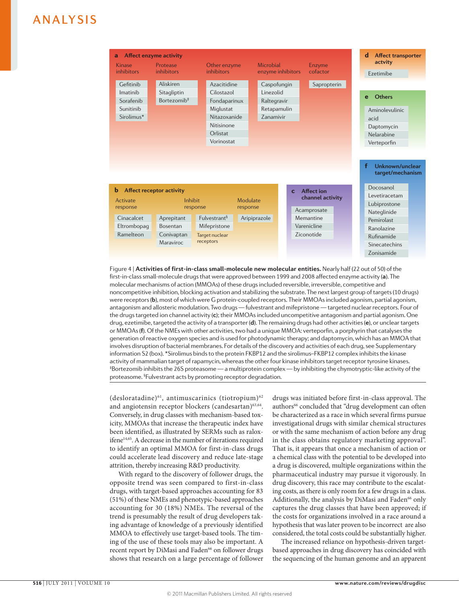## **ANAIYSIS**



Figure 4 | Activities of first-in-class small-molecule new molecular entities. Nearly half (22 out of 50) of the first-in-class small-molecule drugs that were approved between 1999 and 2008 affected enzyme activity (a). The molecular mechanisms of action (MMOAs) of these drugs included reversible, irreversible, competitive and noncompetitive inhibition, blocking activation and stabilizing the substrate. The next largest group of targets (10 drugs) were receptors (b), most of which were G protein-coupled receptors. Their MMOAs included agonism, partial agonism, antagonism and allosteric modulation. Two drugs — fulvestrant and mifepristone — targeted nuclear receptors. Four of the drugs targeted ion channel activity (c); their MMOAs included uncompetitive antagonism and partial agonism. One drug, ezetimibe, targeted the activity of a transporter  $(d)$ . The remaining drugs had other activities  $(e)$ , or unclear targets or MMOAs (f). Of the NMEs with other activities, two had a unique MMOA: verteporfin, a porphyrin that catalyses the generation of reactive oxygen species and is used for photodynamic therapy; and daptomycin, which has an MMOA that involves disruption of bacterial membranes. For details of the discovery and activities of each drug, see Supplementary information S2 (box). \*Sirolimus binds to the protein FKBP12 and the sirolimus-FKBP12 complex inhibits the kinase activity of mammalian target of rapamycin, whereas the other four kinase inhibitors target receptor tyrosine kinases. <sup>‡</sup>Bortezomib inhibits the 26S proteasome — a multiprotein complex — by inhibiting the chymotryptic-like activity of the proteasome. <sup>§</sup>Fulvestrant acts by promoting receptor degradation.

(desloratadine)<sup>61</sup>, antimuscarinics (tiotropium)<sup>62</sup> and angiotensin receptor blockers (candesartan)<sup>63,64</sup>. Conversely, in drug classes with mechanism-based toxicity, MMOAs that increase the therapeutic index have been identified, as illustrated by SERMs such as raloxifene<sup>14,65</sup>. A decrease in the number of iterations required to identify an optimal MMOA for first-in-class drugs could accelerate lead discovery and reduce late-stage attrition, thereby increasing R&D productivity.

With regard to the discovery of follower drugs, the opposite trend was seen compared to first-in-class drugs, with target-based approaches accounting for 83 (51%) of these NMEs and phenotypic-based approaches accounting for 30 (18%) NMEs. The reversal of the trend is presumably the result of drug developers taking advantage of knowledge of a previously identified MMOA to effectively use target-based tools. The timing of the use of these tools may also be important. A recent report by DiMasi and Faden<sup>66</sup> on follower drugs shows that research on a large percentage of follower

drugs was initiated before first-in-class approval. The authors<sup>66</sup> concluded that "drug development can often be characterized as a race in which several firms pursue investigational drugs with similar chemical structures or with the same mechanism of action before any drug in the class obtains regulatory marketing approval". That is, it appears that once a mechanism of action or a chemical class with the potential to be developed into a drug is discovered, multiple organizations within the pharmaceutical industry may pursue it vigorously. In drug discovery, this race may contribute to the escalating costs, as there is only room for a few drugs in a class. Additionally, the analysis by DiMasi and Faden<sup>66</sup> only captures the drug classes that have been approved; if the costs for organizations involved in a race around a hypothesis that was later proven to be incorrect are also considered, the total costs could be substantially higher.

The increased reliance on hypothesis-driven targetbased approaches in drug discovery has coincided with the sequencing of the human genome and an apparent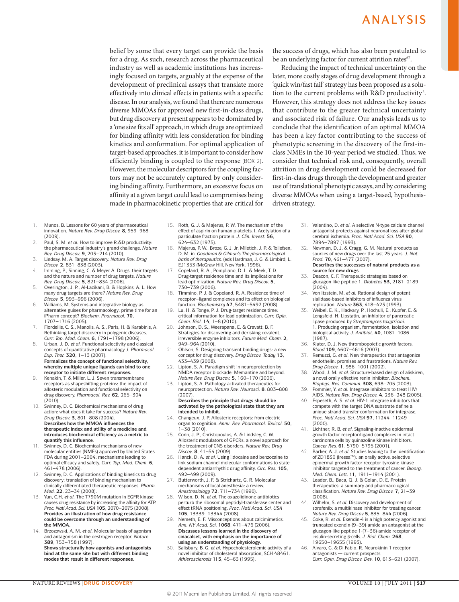belief by some that every target can provide the basis for a drug. As such, research across the pharmaceutical industry as well as academic institutions has increasingly focused on targets, arguably at the expense of the development of preclinical assays that translate more effectively into clinical effects in patients with a specific disease. In our analysis, we found that there are numerous diverse MMOAs for approved new first-in-class drugs, but drug discovery at present appears to be dominated by a 'one size fits all' approach, in which drugs are optimized for binding affinity with less consideration for binding kinetics and conformation. For optimal application of target-based approaches, it is important to consider how efficiently binding is coupled to the response (BOX 2). However, the molecular descriptors for the coupling factors may not be accurately captured by only considering binding affinity. Furthermore, an excessive focus on affinity at a given target could lead to compromises being made in pharmacokinetic properties that are critical for the success of drugs, which has also been postulated to be an underlying factor for current attrition rates<sup>67</sup>.

Reducing the impact of technical uncertainty on the later, more costly stages of drug development through a 'quick win/fast fail' strategy has been proposed as a solution to the current problems with  $R&D$  productivity<sup>2</sup>. However, this strategy does not address the key issues that contribute to the greater technical uncertainty and associated risk of failure. Our analysis leads us to conclude that the identification of an optimal MMOA has been a key factor contributing to the success of phenotypic screening in the discovery of the first-inclass NMEs in the 10-year period we studied. Thus, we consider that technical risk and, consequently, overall attrition in drug development could be decreased for first-in-class drugs through the development and greater use of translational phenotypic assays, and by considering diverse MMOAs when using a target-based, hypothesisdriven strategy.

- 1. Munos, B. Lessons for 60 years of pharmaceutical innovation. *Nature Rev. Drug Discov.* **8**, 959–968  $(2009)$
- 2. Paul, S. M. *et al.* How to improve R.&D productivity: the pharmaceutical industry's grand challenge. *Nature Rev. Drug Discov.* **9**, 203–214 (2010).
- 3. Lindsay, M. A. Target discovery. *Nature Rev. Drug Discov.* **2**, 831–838 (2003).
- 4. Imming, P., Sinning, C. & Meyer A. Drugs, their targets and the nature and number of drug targets. *Nature*
- *Rev. Drug Discov.* **5**, 821**–**834 (2006). 5. Overington, J. P., Al-Lazikani, B. & Hopkins, A. L. How many drug targets are there? *Nature Rev. Drug Discov.* **5**, 993–996 (2006).
- 6. Williams, M. Systems and integrative biology as alternative guises for pharmacology: prime time for an iPharm concept? *Biochem. Pharmacol.* **70**, 1707**–**1716 (2005).
- 7. Flordellis, C. S., Manolis, A. S., Paris, H. & Karabinis, A. Rethinking target discovery in polygenic diseases. *Curr. Top. Med. Chem.* **6**, 1791–1798 (2006).
- 8. Urban, J. D. *et al.* Functional selectivity and classical concepts of quantitative pharmacology *J. Pharmacol. Exp. Ther.* **320**, 1–13 (2007). **Formalizes the concept of functional selectivity, whereby multiple unique ligands can bind to one**
- **receptor to initiate different responses.** 9. Kenakin, T. & Miller, L. J. Seven transmembrane receptors as shapeshifting proteins: the impact of allosteric modulation and functional selectivity on drug discovery. *Pharmacol. Rev.* **62**, 265–304  $(2010)$ .
- 10. Swinney, D. C. Biochemical mechanisms of drug action: what does it take for success? *Nature Rev. Drug Discov.* **3**, 801–808 (2004). **Describes how the MMOA influences the therapeutic index and utility of a medicine and introduces biochemical efficiency as a metric to**
- **quantify this influence.** 11. Swinney, D. C. Biochemical mechanisms of new molecular entities (NMEs) approved by United States FDA during 2001–2004: mechanisms leading to optimal efficacy and safety. *Curr. Top. Med. Chem.* **6**, 461–478 (2006).
- 12. Swinney, D. C. Applications of binding kinetics to drug discovery: translation of binding mechanism to clinically differentiated therapeutic responses. *Pharm. Med.* **22**, 23–34 (2008).
- 13. Yun, C.H. *et al.* The T790M mutation in EGFR kinase causes drug resistance by increasing the affinity for ATP. *Proc. Natl Acad. Sci. USA* **105**, 2070–2075 (2008). **Provides an illustration of how drug resistance could be overcome through an understanding of the MMOA.**
- 14. Brzozowski, A. M. *et al.* Molecular basis of agonism and antagonism in the oestrogen receptor. *Nature* **389**, 753–758 (1997).

**Shows structurally how agonists and antagonists bind at the same site but with different binding modes that result in different responses.**

- 15. Roth, G. J. & Majerus, P. W. The mechanism of the effect of aspirin on human platelets. I. Acetylation of a particulate fraction protein. *J. Clin. Invest.* **56**, 624–632 (1975).
- 16. Majerus, P. W., Broze, G. J. Jr, Miletich, J. P. & Tollefsen, D. M. in *Goodman & Gilman's The pharmacological basis of therapeutics.* (eds Hardman, J. G. & Limbird, L. E.)1353 (McGraw-Hill, New York, 1996).
- 17. Copeland, R. A., Pompliano, D. L. & Meek, T. D. Drug-target residence time and its implications for lead optimization. *Nature Rev. Drug Discov.* **5**, 730–739 (2006).
- 18. Timmino, P. J. & Copeland, R. A. Residence time of receptor–ligand complexes and its effect on biological function. *Biochemistry* **47**, 5481–5492 (2008).
- 19. Lu, H. & Tonge, P. J. Drug-target residence time: critical information for lead optimization. *Curr. Opin. Chem. Biol.* **14**, 1–8 (2010).
- 20. Johnson, D. S., Weerapana, E. & Cravatt, B. F. Strategies for discovering and derisking covalent, irreversible enzyme inhibitors. *Future Med. Chem.* **2**, 949–964 (2010).
- 21. Ohlson, S. Designing transient binding drugs: a new concept for drug discovery. *Drug Discov. Today* **13**, 433–439 (2008).
- 22. Lipton, S. A. Paradigm shift in neuroprotection by NMDA receptor blockade: Memantine and beyond*.*
- *Nature Rev. Drug Discov.* **5**, 160–170 (2006). 23. Lipton, S. A. Pathology activated therapeutics for neuroprotection. *Nature Rev. Neurosci.* **8**, 803–808 (2007).

**Describes the principle that drugs should be activated by the pathological state that they are intended to inhibit.**

- 24. Changeux, J. P. Allosteric receptors: from electric organ to cognition. *Annu. Rev. Pharmacol. Toxicol.* **50**, 1–38 (2010).
- 25. Conn, J. P., Christopoulos, A. & Lindsley, C. W. Allosteric modulators of GPCRs: a novel approach for the treatment of CNS disorders. *Nature Rev. Drug Discov.* **8**, 41–54 (2009).
- 26. Hanck, D. A*. et al.* Using lidocaine and benzocaine to link sodium channel molecular conformations to statedependent antiarrhythic drug affinity. *Circ. Res.* **105**, 492–499 (2009).
- Butterworth, J. F. & Strichartz, G. R. Molecular mechanisms of local anesthesia: a review. *Anesthesiology* **72**, 711–734 (1990).
- 28. Wilson, D. N. *et al.* The oxazolidinone antibiotics perturb the ribosomal peptidyl-transferase center and effect tRNA positioning. *Proc. Natl Acad. Sci. USA* **105**, 13339–13344 (2008).
- Nemeth, E. F. Misconceptions about calcimimetics *Ann. NY Acad. Sci.* **1068**, 471–476 (2006). **Discusses lessons learned in the discovery of cinacalcet, with emphasis on the importance of using an understanding of physiology.**
- 30. Salisbury, B. G. *et al.* Hypocholesterolemic activity of a novel inhibitor of cholesterol absorption, SCH 48461. *Athlerosclerosis* **115**, 45–63 (1995).
- 31. Valentino, D. *et al.* A selective N-type calcium channel antagonist protects against neuronal loss after global cerebral ischemia. *Proc. Natl Acad. Sci. USA* **90**, 7894–7897 (1993).
- 32. Newman, D. J. & Cragg, G. M. Natural products as sources of new drugs over the last 25 years. *J. Nat. Prod.* **70**, 461–477 (2007). **Describes the successes of natural products as a** 
	- **source for new drugs.**
- 33. Deacon, C. F. Therapeutic strategies based on glucagon-like peptide-1. *Diabetes* **53**, 2181–2189  $(2004)$
- 34. Von Itzstein, M. *et al.* Rational design of potent sialidase-based inhibitors of influenza virus replication. *Nature* **363**, 418–423 (1993).
- 35. Weibel, E. K., Hadvary, P., Hochuli, E., Kupfer, E. & Lengsfeld, H. Lipstatin, an inhibitor of pancreatic lipase produced by *Streptomyces toxytricini*. 1. Producing organism, fermentation, isolation and biological activity. *J. Antibiot*. **40**, 1081–1086 (1987).
- 36. Kluter, D. J. New thrombopoietic growth factors. *Blood* **109**, 4607–4616 (2007).
- 37. Remuzzi, G. *et al.* New therapeutics that antagonize endothelin: promises and frustrations. *Nature Rev. Drug Discov.* **1**, 986–1001 (2002).
- 38. Wood, J. M. *et al.* Structure-based design of aliskiren, a novel orally effective renin inhibitor. *Biochem. Biophys. Res. Commun.* **308**, 698–705 (2003).
- Pommier, Y. *et al.* Integrase inhibitors to treat HIV/ AIDS. *Nature Rev. Drug Discov.* **4**, 236–248 (2005).
- 40. Espeseth, A. S. *et al.* HIV-1 integrase inhibitors that compete with the target DNA substrate define a unique strand transfer conformation for integrase. *Proc. Natl Acad. Sci. USA* **97**, 11244–11249 (2000).
- 41. Lichtner, R. B. *et al.* Signaling-inactive epidermal growth factor receptor/ligand complexes in intact carcinoma cells by quinazoline kinase inhibitors. *Cancer Res.* **61**, 5790–5795 (2001).
- 42. Barker, A. J. *et al.* Studies leading to the identification of ZD1830 (Iressa™): an orally active, selective epidermal growth factor receptor tyrosine kinase inhibitor targeted to the treatment of cancer. *Bioorg. Med. Chem. Lett.* **11**, 1911–1914 (2001).
- 43. Leader, B., Baca, Q. J. & Golan, D. E. Protein therapeutics: a summary and pharmacological classification. *Nature Rev. Drug Discov.* **7**, 21–39 (2008).
- 44. Wilhelm, S. *et al.* Discovery and development of sorafenib: a multikinase inhibitor for treating cancer. *Nature Rev. Drug Discov* **5**, 835–844 (2006).
- Goke, R. *et al.* Exendin-4 is a high potency agonist and truncated exendin-(9–39)-amide an antagonist at the glucagon-like peptide 1-(7–36)-amide receptor of insulin-secreting β-cells. *J. Biol. Chem.* **268**, 19650–19655 (1993).
- 46. Alvaro, G. & Di Fabio, R. Neurokinin 1 receptor antagonists — current prospects. *Curr. Opin. Drug Discov. Dev.* **10**, 613–621 (2007).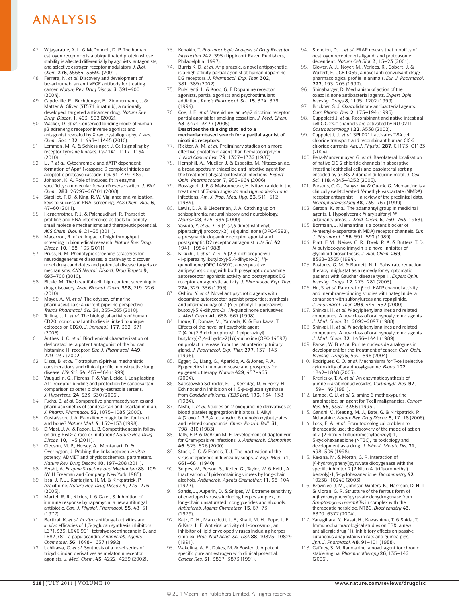- 47. Wijayaratne, A. L. & McDonnell, D. P. The human estrogen receptor-α is a ubiquitinated protein whose stability is affected differentially by agonists, antagonists, and selective estrogen receptor modulators. *J. Biol. Chem.* **276**, 35684–35692 (2001).
- 48. Ferrara, N. *et al.* Discovery and development of bevacizumab, an anti-VEGF antibody for treating cancer. *Nature Rev. Drug Discov.* **3**, 391–400 (2004).
- 49. Capdeville, R., Buchdunger, E., Zimmermann, J. & Matter A. Glivec (ST571, imatinib), a rationally developed, targeted anticancer drug. *Nature Rev. Drug. Discov.* **1**, 493–502 (2002).
- 50. Wacker, D. *et al.* Conserved binding mode of human β2 adrenergic receptor inverse agonists and antagonist revealed by X-ray crystallography. *J. Am. Chem. Soc.* **132**, 11443–11445 (2010).
- Lemmon, M. A. & Schlessinger, J. Cell signaling by receptor tyrosine kinases. *Cell* **141**, 1117–1134  $(2010)$
- 52. Li, P. *et al.* Cytochrome *c* and dATP-dependent formation of Apaf-1/caspase-9 complex initiates an apoptotic protease cascade. *Cell* **91**, 479–489.
- 53. Johnson, K. A. Role of induced fit in enzyme specificity: a molecular forward/reverse switch. *J. Biol. Chem.* **283**, 26297–26301 (2008).
- 54. Sigoillot, F. D. & King, R. W. Vigilance and validation: keys to success in RNAi screening. *ACS Chem. Biol.* **6**, 47–60 (2011).
- 55. Hergenrother, P. J. & Palchaudhuri, R. Transcript profiling and RNA interference as tools to identify small molecule mechanisms and therapeutic potential. *ACS Chem. Biol.* **6**, 21–33 (2011).
- 56. Macarron, R. *et al.* Impact of high-throughput screening in biomedical research. *Nature Rev. Drug. Discov.* **10**, 188–195 (2011).
- 57. Pruss, R. M. Phenotypic screening strategies for neurodegenerative diseases: a pathway to discover novel drug candidates and potential disease targets or mechanisms. *CNS Neurol. Disord. Drug Targets* **9**, 693–700 (2010).
- 58. Bickle, M. The beautiful cell: high-content screening in drug discovery. *Anal. Bioanal. Chem.* **398**, 219–226 (2010).
- 59. Mayer, A. M. *et al.* The odyssey of marine pharmaceuticals: a current pipeline perspective. *Trends Pharmacol. Sci.* **31**, 255–265 (2010).
- 60. Telling, J. L. *et al.* The biological activity of human CD20 monoclonal antibodies is linked to unique epitopes on CD20. *J. Immunol.* **177**, 362–371  $(2006)$
- 61. Anthes, J. C. *et al.* Biochemical characterization of desloratadine, a potent antagonist of the human histamine H1 receptor. *Eur. J. Pharmacol.* **449**, 229–237 (2002).
- 62. Disse, B. *et al.* Tiotropium (Spiriva): mechanistic considerations and clinical profile in obstructive lung disease. *Life Sci.* **64**, 457–464 (1999).
- 63. Vauquelin, G., Fierens, F. & Van Liefde, I. Long-lasting AT1 receptor binding and protection by candesartan: comparison to other biphenyl-tetrazole sartans. *J. Hypertens.* **24**, S23–S30 (2006).
- 64. Fuchs, B. *et al.* Comparative pharmacodynamics and pharmacokinetics of candesartan and losartan in man. *J. Pharm. Pharmacol.* **52**, 1075–1083 (2000).
- 65. Gustafsson, J. A. Raloxifene: magic bullet for heart and bone? *Nature Med.* **4**, 152–153 (1998).
- 66. DiMasi, J. A. & Fadon, L. B. Competitiveness in followon drug R&D: a race or imitation? *Nature Rev. Drug Discov.* **10**, 1–5 (2011).
- 67. Gleeson, M. P., Hersey, A., Montanari, D. & Overington, J. Probing the links between *in vitro* potency, ADMET and physiocochemical parameters. *Nature Rev. Drug Discov.* **10**, 197–208 (2011).
- 68. Fersht, A. *Enzyme Structure and Mechanism* 88–109 (W. H Freeman and Company, New York,1985). 69. Issa, J. P. J., Kantarjian, H. M. & Kirkpatrick, P.
- Azacitidine. *Nature Rev. Drug Discov.* **4**, 275–276 (2005).
- 70. Martel, R. R., Klicius, J. & Galet, S. Inhibition of immune response by rapamycin, a new antifungal antibiotic. *Can. J. Physiol. Pharmacol.* **55**, 48–51 (1977).
- 71. Bartizal, K. *et al. In vitro* antifungal activities and *in vivo* efficacies of 1,3-β-glucan synthesis inhibitors L671,329, L646,991, tetrahydroechinocandin B, and L687,781, a papulacandin. *Antimicrob. Agents Chemother.* **36**, 1648–1657 (1992).
- 72. Uchikawa, O. *et al.* Synthesis of a novel series of tricyclic indan derivatives as melatonin receptor agonists*. J. Med. Chem.* **45**, 4222–4239 (2002).
- 73. Kenakin, T. *Pharmacologic Analysis of Drug-Receptor Interaction* 242–395 (Lippincott-Raven Publishers, Philadelphia, 1997).
- 74. Burris K. D. *et al.* Aripiprazole, a novel antipsychotic, is a high-affinity partial agonist at human dopamine D2 receptors. *J. Pharmacol. Exp. Ther.* **302**, 381–389 (2002).
- 75. Pulvirenti, L. & Koob, G. F. Dopamine receptor agonists, partial agonists and psychostimulant addiction. *Trends Pharmacol. Sci.* **15**, 374–379 (1994).
- 76. Coe, J. E. *et al.* Varenicline: an α4β2 nicotinic receptor partial agonist for smoking cessation. *J. Med. Chem.* **48**, 3474–3477 (2005). **Describes the thinking that led to a mechanism-based search for a partial agonist of**
- **nicotinic receptors.** Rickter, A. M. *et al.* Preliminary studies on a more effective phototoxic agent than hematoporphyrin. *J. Natl Cancer Inst.* **79**, 1327–1332 (1987).
- 78. Hemphill, A., Mueller, J. & Esposito, M. Nitazoxanide, a broad-spectrum thiazolide anti-infective agent for the treatment of gastrointestinal infections. *Expert Opin. Pharmacother.* **7**, 953–964 (2006).
- 79. Rossignol, J. F. & Maisonneuve, H. Nitazoxanide in the treatment of *Teania saginata* and *Hymenolepis nana* infections. *Am. J. Trop. Med. Hyg.* **33**, 511–512 (1984).
- 80. Lewis, D. A. & Lieberman, J. A. Catching up on schizophrenia: natural history and neurobiology. *Neuron* **28**, 325–334 (2000).
- 81. Yasuda, Y. *et al.* 7-[3-[4-(2,3 dimethylphenyl) piperazinyl] propoxy]-2(1*H*)-quinolinone (OPC-4392), a presynaptic dopamine receptor agonist and postsynaptic D2 receptor antagonist. *Life Sci.* **42**, 1941–1954 (1988).
- 82. Kikuchi, T. *et al.* 7-(4-[4-(2,3-dichlorophenyl) -1-piperazinyl]butyloxy)-3,4-dihydro-2(1*H*) quinolinone (OPC-14597), a new putative antipsychotic drug with both presynaptic dopamine autoreceptor agonistic activity and postsynaptic D2 receptor antagonistic activity. *J. Pharmacol. Exp. Ther.* **274**, 329–336 (1995).
- 83. Oshiro, Y. *et al.* Novel antipsychotic agents with dopamine autoreceptor agonist properties: synthesis and pharmacology of 7-[4-(4-phenyl-1-piperazinyl) butoxy]-3,4-dihydro-2(1*H*)-quinolinone derivatives.
- *J. Med. Chem.* **41**, 658–667 (1998). 84. Inoue, T., Domae, M., Yamada, K. & Furukawa, T. Effects of the novel antipsychotic agent 7-(4-[4-(2,3-dichorophenyl)-1-piperazinyl] butyloxy)-3,4-dihydro-2(1*H*)-quinoline (OPC-14597) on prolactin release from the rat anterior pituitary gland. *J. Pharmacol. Exp. Ther.* **277**, 137–143 (1996).
- 85. Egger, G., Liang, G., Aparicio, A. & Jones, P. A. Epigenetics in human disease and prospects for epigenetic therapy. *Nature* **429**, 457–463 (2004).
- 86. Satistowska-Schroder, E. T., Kerridge, D. & Perry, H. Echinocandin inhibition of 1,3-β-D-glucan synthase from *Candida albicans*. *FEBS Lett.* **173**, 134–138 (1984).
- 87. Nishi, T. *et al.* Studies on 2-oxoquinoline derivatives as blood platelet aggregation inhibitors. I. Alkyl 4-(2-oxo-1,2,3,4-tetrahydro-6-quinolyloxy)butyrates and related compounds. *Chem. Pharm. Bull.* **31**, 798–810 (1983).
- 88. Tally, F. P. & DeBruin M. F. Development of daptomycin for Gram-positive infections. *J. Antimicrob. Chemother.* **46**, 523–526 (2000). 89. Stock, C, C. & Francis, T. J. The inactivation of the
- virus of epidemic influenza by soaps*. J. Exp. Med.* **71**, 661–681 (1940).
- 90. Snipes, W., Person, S., Keller, G., Taylor, W. & Keith, A. Inactivation of lipid-containing viruses by long-chain alcohols. *Antimicrob. Agents Chemother.* **11**, 98–104 (1977).
- Sands, J., Auperin, D. & Snipes, W. Extreme sensitivity of enveloped viruses including herpes-simplex, to long-chain unsaturated monglycerides and alcohols. *Antimicrob. Agents Chemother.* **15**, 67–73 (1979).
- 92. Katz, D. H., Marcelletti, J. F., Khalil, M. H., Pope, L. E. & Katz, L. E. Antiviral activity of 1-docosanol, an inhibitor of lipid-enveloped viruses including herpes simplex. *Proc. Natl Acad. Sci. USA* **88**, 10825–10829 (1991).
- 93. Wakeling, A. E., Dukes, M. & Bowler, J. A potent specific pure antiestrogen with clinical potential. *Cancer Res.* **51**, 3867–3873 (1991).
- Stenoien, D. L. et al. FRAP reveals that mobility of oestrogen receptor-α is ligand- and proteasome-
- dependent*. Nature Cell Biol.* **3**, 15–23 (2001). 95. Glower, A. J., Noyer, M., Verloes, R., Gobert, J. & Wulfert, E. UCB L059, a novel anti-convulsant drug: pharmacological profile in animals. *Eur. J. Pharmacol.* **222**, 193–203 (1992).
- 96. Shinabarger, D. Mechanism of action of the oxazolidinone antibacterial agents. *Expert Opin. Investig. Drugs* **8**, 1195–1202 (1999).
- Brickner, S. J. Oxazolidinone antibacterial agents. *Curr. Pharm. Des.* **2**, 175–194 (1996).
- 98. Cuppoletti J. *et al.* Recombinant and native intestinal cell ClC-2Cl– channels are activated by RU-0211. *Gastroenterology* **122**, A538 (2002).
- 99. Cuppoletti, J. *et al.* SPI-0211 activates T84 cell chloride transport and recombinant human ClC-2 chloride currents. *Am. J. Physiol.* **287**, C1173–C1183 (2004).
- 100. Peña-Münzenmayer, G. *et al.* Basolateral localization of native ClC-2 chloride channels in absorptive intestinal epithelial cells and basolateral sorting encoded by a CBS-2 domain di-leucine motif. *J. Cell Sci.* **118**, 4243–4252 (2005).
- 101. Parsons, C. G., Danysz, W. & Quack, G. Memantine is a clinically well-tolerated *N*-methyl-D-aspartate (NMDA) receptor antagonist — a review of the preclinical data. *Neuropharmacology* **38**, 735–767 (1999).
- 102. Gerzon, K. *et al.* The adamantyl group in medicinal agents. I. Hypoglycemic *N*-arylsulfonyl-*N*′ adamantylureas. *J. Med. Chem.* **6**, 760–763 (1963).
- 103. Bormann, J. Memantine is a potent blocker of  $N$ -methyl-p-aspartate (NMDA) receptor channels. *Eur. J. Pharmacol.* **166**, 591–592 (1989).
- 104. Platt, F. M., Neises, G. R., Dwek, R. A. & Butters, T. D. *N*-butyldeoxynojirimycin is a novel inhibitor of glycolipid biosynthesis. *J. Biol. Chem.* **269**, 8362–8365 (1994).
- 105. Pastores, G. M. & Barnett, N. L. Substrate reduction therapy: miglustat as a remedy for symptomatic patients with Gaucher disease type 1. *Expert Opin. Investig. Drugs.* **12**, 273–281 (2003).
- 106. Hu, S. *et al.* Pancreatic β-cell KATP channel activity and membrane-binding studies with nateglinide: a comarison with sulfonylureas and repaglinide. *J. Pharmacol. Ther.* **293**, 444–452 (2000).
- 107. Shinkai, H. *et al. N*-acylphenylanalines and related compounds. A new class of oral hypoglycemic agents. *J. Med. Chem.* **31**, 2092–2097 (1988).
- 108. Shinkai, H. *et al. N*-acylphenylanalines and related compounds. A new class of oral hypoglycemic agents. *J. Med. Chem.* **32**, 1436–1441 (1989).
- 109. Parker, W. B. *et al.* Purine nucleoside analogues in development for the treatment of cancer. *Curr. Opin.*
- *Investig. Drugs* **5**, 592–596 (2004). 110. Rodriguez, C. O. *et al.* Mechanisms for T-cell selective cytotoxicity of arabinosylguanine. *Blood* **102**, 1842–1848 (2003).
- 111. Krenitsky, T. A. *et al.* An enzymatic synthesis of purine-d-arabinonucleosides. *Carbohydr. Res.* **97**, 139–146 (1981).
- 112. Lambe, C. U. *et al.* 2-amino-6-methoxypurine arabinoside: an agent for T-cell malignancies. *Cancer Res.* **55**, 3352–3356 (1995).
- 113. Gandhi, V., Keating, M. J., Bate, G. & Kirkpatrick, P. Nelarabine. *Nature Rev. Drug Discov.* **5**, 17–18 (2006). 114. Lock, E. A. *et al.* From toxicological problem to
- therapeutic use: the discovery of the mode of action of 2-(2-nitro-4-trifluoromethylbenzoyl)-1, 3-cyclohexanedione (NTBC), its toxicology and development as a drug. *J. Inherit. Metab. Dis.* **21**, 498–506 (1998).
- 115. Kavana, M. & Moran, G. R. Interaction of (4-hydroxyphenyl)pyruvate dioxygenase with the specific inhibitor 2-[2-Nitro-4-(trifluoromethyl) benzoly]-1,3-cyclohexanedione. *Biochemistry* **42**, 10238–10245 (2003).
- 116. Brownlee, J. M., Johnson-Winters, K., Harrison, D. H. T. & Moran, G. R. Structure of the ferrous form of 4-(hydroxyphenyl)pyruvate dehydrogenase from *Streptomyces avermitilis* in complex with the therapeutic herbicide, NTBC. *Biochemistry* **43**, 6370–6377 (2004).
- 117. Yanagihara, Y., Kasai, H., Kawashima, T. & Shida, T. Immunopharmacological studies on TBX, a new antiallergic drug (1). Inhibitory effects on passive cutaneous anaphylaxis in rats and guinea pigs. *Jpn. J. Pharmacol.* **48**, 91–101 (1988).
- 118. Gaffney, S. M. Ranolazine, a novel agent for chronic stable angina. *Pharmacotherapy* **26**, 135–142 (2006).